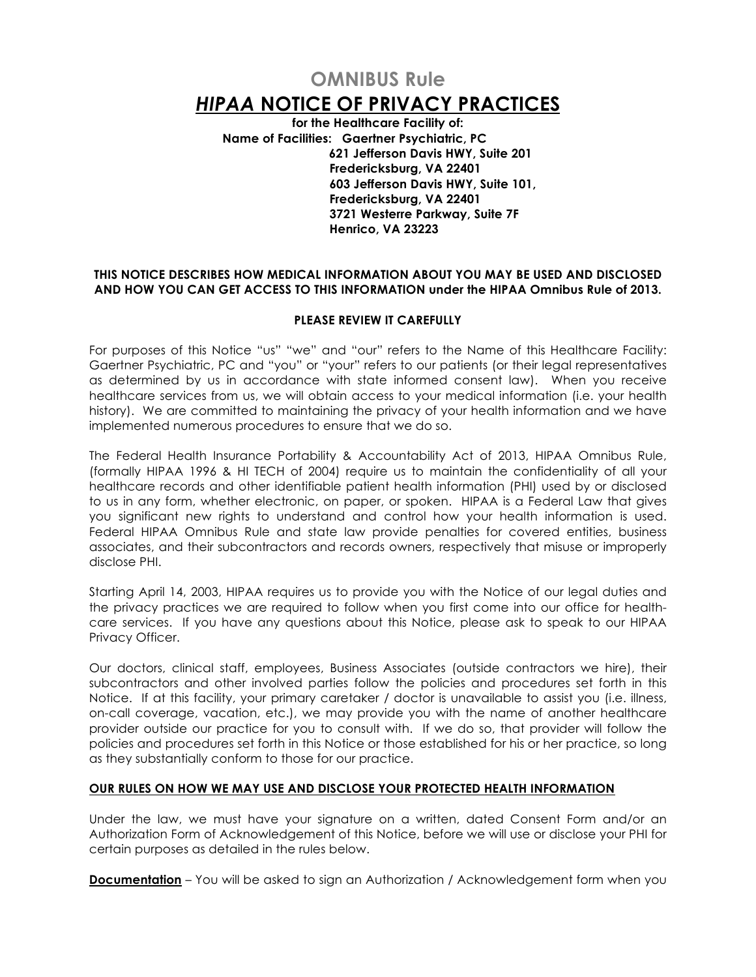# **OMNIBUS Rule**  *HIPAA* **NOTICE OF PRIVACY PRACTICES**

**for the Healthcare Facility of: Name of Facilities: Gaertner Psychiatric, PC 621 Jefferson Davis HWY, Suite 201 Fredericksburg, VA 22401 603 Jefferson Davis HWY, Suite 101, Fredericksburg, VA 22401 3721 Westerre Parkway, Suite 7F Henrico, VA 23223**

# **THIS NOTICE DESCRIBES HOW MEDICAL INFORMATION ABOUT YOU MAY BE USED AND DISCLOSED AND HOW YOU CAN GET ACCESS TO THIS INFORMATION under the HIPAA Omnibus Rule of 2013.**

# **PLEASE REVIEW IT CAREFULLY**

For purposes of this Notice "us" "we" and "our" refers to the Name of this Healthcare Facility: Gaertner Psychiatric, PC and "you" or "your" refers to our patients (or their legal representatives as determined by us in accordance with state informed consent law). When you receive healthcare services from us, we will obtain access to your medical information (i.e. your health history). We are committed to maintaining the privacy of your health information and we have implemented numerous procedures to ensure that we do so.

The Federal Health Insurance Portability & Accountability Act of 2013, HIPAA Omnibus Rule, (formally HIPAA 1996 & HI TECH of 2004) require us to maintain the confidentiality of all your healthcare records and other identifiable patient health information (PHI) used by or disclosed to us in any form, whether electronic, on paper, or spoken. HIPAA is a Federal Law that gives you significant new rights to understand and control how your health information is used. Federal HIPAA Omnibus Rule and state law provide penalties for covered entities, business associates, and their subcontractors and records owners, respectively that misuse or improperly disclose PHI.

Starting April 14, 2003, HIPAA requires us to provide you with the Notice of our legal duties and the privacy practices we are required to follow when you first come into our office for healthcare services. If you have any questions about this Notice, please ask to speak to our HIPAA Privacy Officer.

Our doctors, clinical staff, employees, Business Associates (outside contractors we hire), their subcontractors and other involved parties follow the policies and procedures set forth in this Notice. If at this facility, your primary caretaker / doctor is unavailable to assist you (i.e. illness, on-call coverage, vacation, etc.), we may provide you with the name of another healthcare provider outside our practice for you to consult with. If we do so, that provider will follow the policies and procedures set forth in this Notice or those established for his or her practice, so long as they substantially conform to those for our practice.

#### **OUR RULES ON HOW WE MAY USE AND DISCLOSE YOUR PROTECTED HEALTH INFORMATION**

Under the law, we must have your signature on a written, dated Consent Form and/or an Authorization Form of Acknowledgement of this Notice, before we will use or disclose your PHI for certain purposes as detailed in the rules below.

**Documentation** – You will be asked to sign an Authorization / Acknowledgement form when you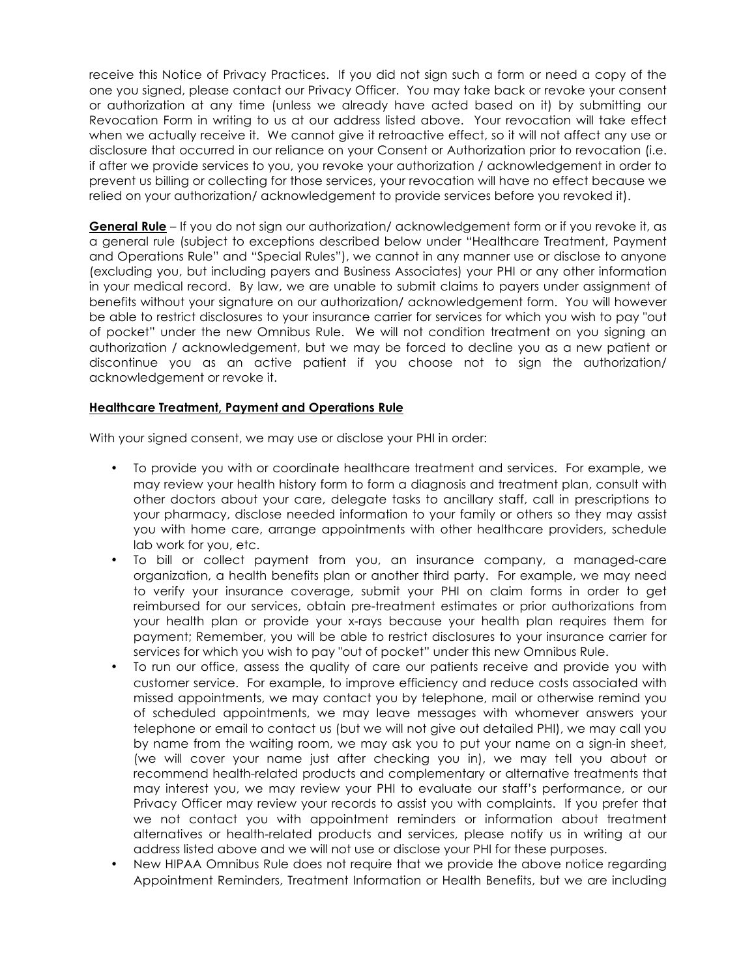receive this Notice of Privacy Practices. If you did not sign such a form or need a copy of the one you signed, please contact our Privacy Officer. You may take back or revoke your consent or authorization at any time (unless we already have acted based on it) by submitting our Revocation Form in writing to us at our address listed above. Your revocation will take effect when we actually receive it. We cannot give it retroactive effect, so it will not affect any use or disclosure that occurred in our reliance on your Consent or Authorization prior to revocation (i.e. if after we provide services to you, you revoke your authorization / acknowledgement in order to prevent us billing or collecting for those services, your revocation will have no effect because we relied on your authorization/ acknowledgement to provide services before you revoked it).

**General Rule** – If you do not sign our authorization/ acknowledgement form or if you revoke it, as a general rule (subject to exceptions described below under "Healthcare Treatment, Payment and Operations Rule" and "Special Rules"), we cannot in any manner use or disclose to anyone (excluding you, but including payers and Business Associates) your PHI or any other information in your medical record. By law, we are unable to submit claims to payers under assignment of benefits without your signature on our authorization/ acknowledgement form. You will however be able to restrict disclosures to your insurance carrier for services for which you wish to pay "out of pocket" under the new Omnibus Rule. We will not condition treatment on you signing an authorization / acknowledgement, but we may be forced to decline you as a new patient or discontinue you as an active patient if you choose not to sign the authorization/ acknowledgement or revoke it.

# **Healthcare Treatment, Payment and Operations Rule**

With your signed consent, we may use or disclose your PHI in order:

- To provide you with or coordinate healthcare treatment and services. For example, we may review your health history form to form a diagnosis and treatment plan, consult with other doctors about your care, delegate tasks to ancillary staff, call in prescriptions to your pharmacy, disclose needed information to your family or others so they may assist you with home care, arrange appointments with other healthcare providers, schedule lab work for you, etc.
- To bill or collect payment from you, an insurance company, a managed-care organization, a health benefits plan or another third party. For example, we may need to verify your insurance coverage, submit your PHI on claim forms in order to get reimbursed for our services, obtain pre-treatment estimates or prior authorizations from your health plan or provide your x-rays because your health plan requires them for payment; Remember, you will be able to restrict disclosures to your insurance carrier for services for which you wish to pay "out of pocket" under this new Omnibus Rule.
- To run our office, assess the quality of care our patients receive and provide you with customer service. For example, to improve efficiency and reduce costs associated with missed appointments, we may contact you by telephone, mail or otherwise remind you of scheduled appointments, we may leave messages with whomever answers your telephone or email to contact us (but we will not give out detailed PHI), we may call you by name from the waiting room, we may ask you to put your name on a sign-in sheet, (we will cover your name just after checking you in), we may tell you about or recommend health-related products and complementary or alternative treatments that may interest you, we may review your PHI to evaluate our staff's performance, or our Privacy Officer may review your records to assist you with complaints. If you prefer that we not contact you with appointment reminders or information about treatment alternatives or health-related products and services, please notify us in writing at our address listed above and we will not use or disclose your PHI for these purposes.
- New HIPAA Omnibus Rule does not require that we provide the above notice regarding Appointment Reminders, Treatment Information or Health Benefits, but we are including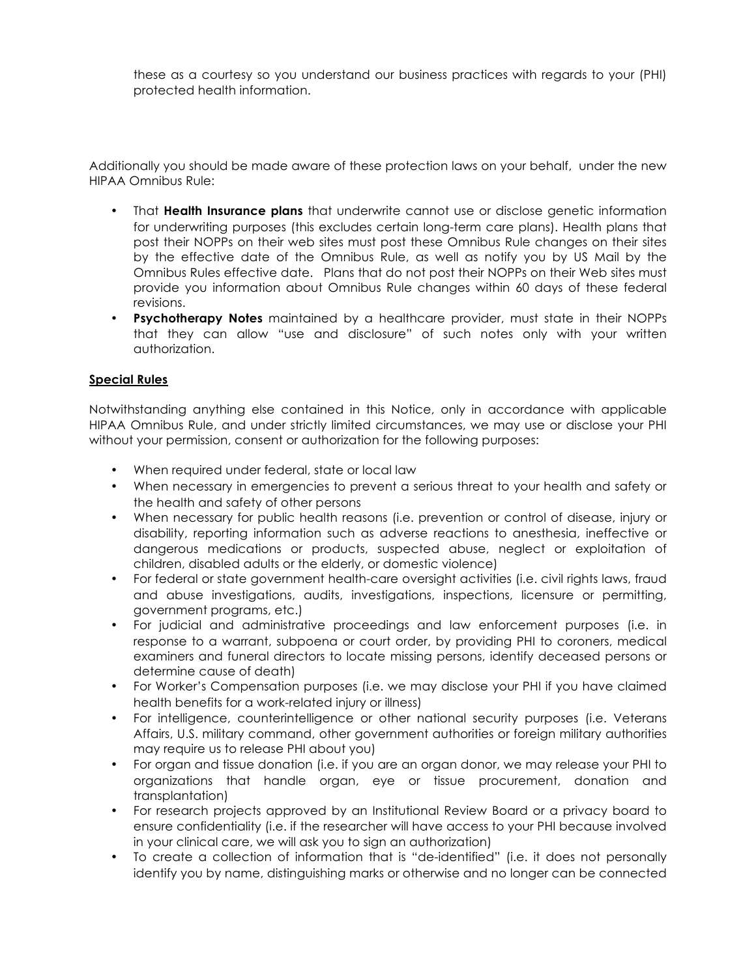these as a courtesy so you understand our business practices with regards to your (PHI) protected health information.

Additionally you should be made aware of these protection laws on your behalf, under the new HIPAA Omnibus Rule:

- That **Health Insurance plans** that underwrite cannot use or disclose genetic information for underwriting purposes (this excludes certain long-term care plans). Health plans that post their NOPPs on their web sites must post these Omnibus Rule changes on their sites by the effective date of the Omnibus Rule, as well as notify you by US Mail by the Omnibus Rules effective date. Plans that do not post their NOPPs on their Web sites must provide you information about Omnibus Rule changes within 60 days of these federal revisions.
- **Psychotherapy Notes** maintained by a healthcare provider, must state in their NOPPs that they can allow "use and disclosure" of such notes only with your written authorization.

#### **Special Rules**

Notwithstanding anything else contained in this Notice, only in accordance with applicable HIPAA Omnibus Rule, and under strictly limited circumstances, we may use or disclose your PHI without your permission, consent or authorization for the following purposes:

- When required under federal, state or local law
- When necessary in emergencies to prevent a serious threat to your health and safety or the health and safety of other persons
- When necessary for public health reasons (i.e. prevention or control of disease, injury or disability, reporting information such as adverse reactions to anesthesia, ineffective or dangerous medications or products, suspected abuse, neglect or exploitation of children, disabled adults or the elderly, or domestic violence)
- For federal or state government health-care oversight activities (i.e. civil rights laws, fraud and abuse investigations, audits, investigations, inspections, licensure or permitting, government programs, etc.)
- For judicial and administrative proceedings and law enforcement purposes (i.e. in response to a warrant, subpoena or court order, by providing PHI to coroners, medical examiners and funeral directors to locate missing persons, identify deceased persons or determine cause of death)
- For Worker's Compensation purposes (i.e. we may disclose your PHI if you have claimed health benefits for a work-related injury or illness)
- For intelligence, counterintelligence or other national security purposes (i.e. Veterans Affairs, U.S. military command, other government authorities or foreign military authorities may require us to release PHI about you)
- For organ and tissue donation (i.e. if you are an organ donor, we may release your PHI to organizations that handle organ, eye or tissue procurement, donation and transplantation)
- For research projects approved by an Institutional Review Board or a privacy board to ensure confidentiality (i.e. if the researcher will have access to your PHI because involved in your clinical care, we will ask you to sign an authorization)
- To create a collection of information that is "de-identified" (i.e. it does not personally identify you by name, distinguishing marks or otherwise and no longer can be connected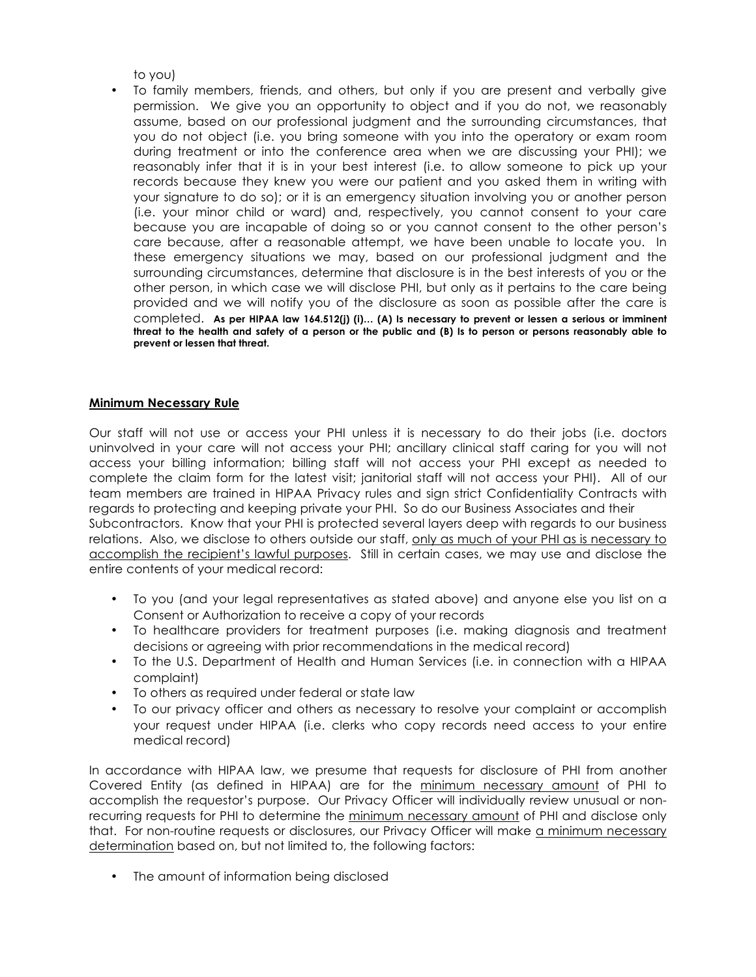to you)

• To family members, friends, and others, but only if you are present and verbally give permission. We give you an opportunity to object and if you do not, we reasonably assume, based on our professional judgment and the surrounding circumstances, that you do not object (i.e. you bring someone with you into the operatory or exam room during treatment or into the conference area when we are discussing your PHI); we reasonably infer that it is in your best interest (i.e. to allow someone to pick up your records because they knew you were our patient and you asked them in writing with your signature to do so); or it is an emergency situation involving you or another person (i.e. your minor child or ward) and, respectively, you cannot consent to your care because you are incapable of doing so or you cannot consent to the other person's care because, after a reasonable attempt, we have been unable to locate you. In these emergency situations we may, based on our professional judgment and the surrounding circumstances, determine that disclosure is in the best interests of you or the other person, in which case we will disclose PHI, but only as it pertains to the care being provided and we will notify you of the disclosure as soon as possible after the care is completed. **As per HIPAA law 164.512(j) (i)… (A) Is necessary to prevent or lessen a serious or imminent threat to the health and safety of a person or the public and (B) Is to person or persons reasonably able to prevent or lessen that threat.**

# **Minimum Necessary Rule**

Our staff will not use or access your PHI unless it is necessary to do their jobs (i.e. doctors uninvolved in your care will not access your PHI; ancillary clinical staff caring for you will not access your billing information; billing staff will not access your PHI except as needed to complete the claim form for the latest visit; janitorial staff will not access your PHI). All of our team members are trained in HIPAA Privacy rules and sign strict Confidentiality Contracts with regards to protecting and keeping private your PHI. So do our Business Associates and their Subcontractors. Know that your PHI is protected several layers deep with regards to our business relations. Also, we disclose to others outside our staff, only as much of your PHI as is necessary to accomplish the recipient's lawful purposes. Still in certain cases, we may use and disclose the entire contents of your medical record:

- To you (and your legal representatives as stated above) and anyone else you list on a Consent or Authorization to receive a copy of your records
- To healthcare providers for treatment purposes (i.e. making diagnosis and treatment decisions or agreeing with prior recommendations in the medical record)
- To the U.S. Department of Health and Human Services (i.e. in connection with a HIPAA complaint)
- To others as required under federal or state law
- To our privacy officer and others as necessary to resolve your complaint or accomplish your request under HIPAA (i.e. clerks who copy records need access to your entire medical record)

In accordance with HIPAA law, we presume that requests for disclosure of PHI from another Covered Entity (as defined in HIPAA) are for the minimum necessary amount of PHI to accomplish the requestor's purpose. Our Privacy Officer will individually review unusual or nonrecurring requests for PHI to determine the minimum necessary amount of PHI and disclose only that. For non-routine requests or disclosures, our Privacy Officer will make a minimum necessary determination based on, but not limited to, the following factors:

• The amount of information being disclosed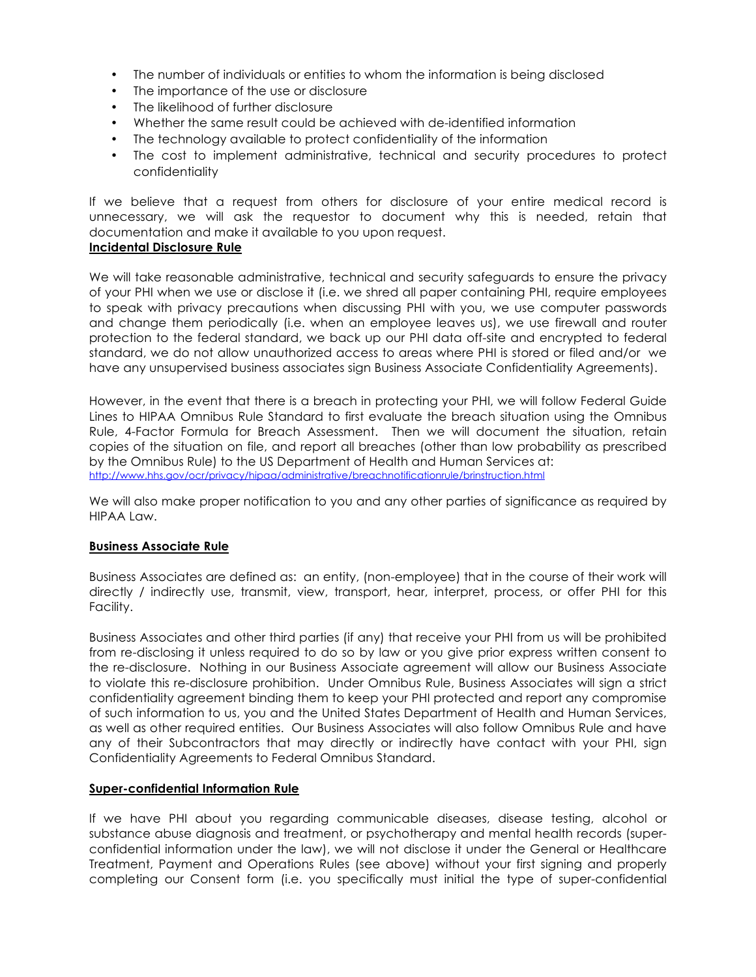- The number of individuals or entities to whom the information is being disclosed
- The importance of the use or disclosure
- The likelihood of further disclosure
- Whether the same result could be achieved with de-identified information
- The technology available to protect confidentiality of the information
- The cost to implement administrative, technical and security procedures to protect confidentiality

If we believe that a request from others for disclosure of your entire medical record is unnecessary, we will ask the requestor to document why this is needed, retain that documentation and make it available to you upon request. **Incidental Disclosure Rule**

#### We will take reasonable administrative, technical and security safeguards to ensure the privacy of your PHI when we use or disclose it (i.e. we shred all paper containing PHI, require employees to speak with privacy precautions when discussing PHI with you, we use computer passwords and change them periodically (i.e. when an employee leaves us), we use firewall and router protection to the federal standard, we back up our PHI data off-site and encrypted to federal standard, we do not allow unauthorized access to areas where PHI is stored or filed and/or we have any unsupervised business associates sign Business Associate Confidentiality Agreements).

However, in the event that there is a breach in protecting your PHI, we will follow Federal Guide Lines to HIPAA Omnibus Rule Standard to first evaluate the breach situation using the Omnibus Rule, 4-Factor Formula for Breach Assessment. Then we will document the situation, retain copies of the situation on file, and report all breaches (other than low probability as prescribed by the Omnibus Rule) to the US Department of Health and Human Services at: http://www.hhs.gov/ocr/privacy/hipaa/administrative/breachnotificationrule/brinstruction.html

We will also make proper notification to you and any other parties of significance as required by HIPAA Law.

#### **Business Associate Rule**

Business Associates are defined as: an entity, (non-employee) that in the course of their work will directly / indirectly use, transmit, view, transport, hear, interpret, process, or offer PHI for this Facility.

Business Associates and other third parties (if any) that receive your PHI from us will be prohibited from re-disclosing it unless required to do so by law or you give prior express written consent to the re-disclosure. Nothing in our Business Associate agreement will allow our Business Associate to violate this re-disclosure prohibition. Under Omnibus Rule, Business Associates will sign a strict confidentiality agreement binding them to keep your PHI protected and report any compromise of such information to us, you and the United States Department of Health and Human Services, as well as other required entities. Our Business Associates will also follow Omnibus Rule and have any of their Subcontractors that may directly or indirectly have contact with your PHI, sign Confidentiality Agreements to Federal Omnibus Standard.

#### **Super-confidential Information Rule**

If we have PHI about you regarding communicable diseases, disease testing, alcohol or substance abuse diagnosis and treatment, or psychotherapy and mental health records (superconfidential information under the law), we will not disclose it under the General or Healthcare Treatment, Payment and Operations Rules (see above) without your first signing and properly completing our Consent form (i.e. you specifically must initial the type of super-confidential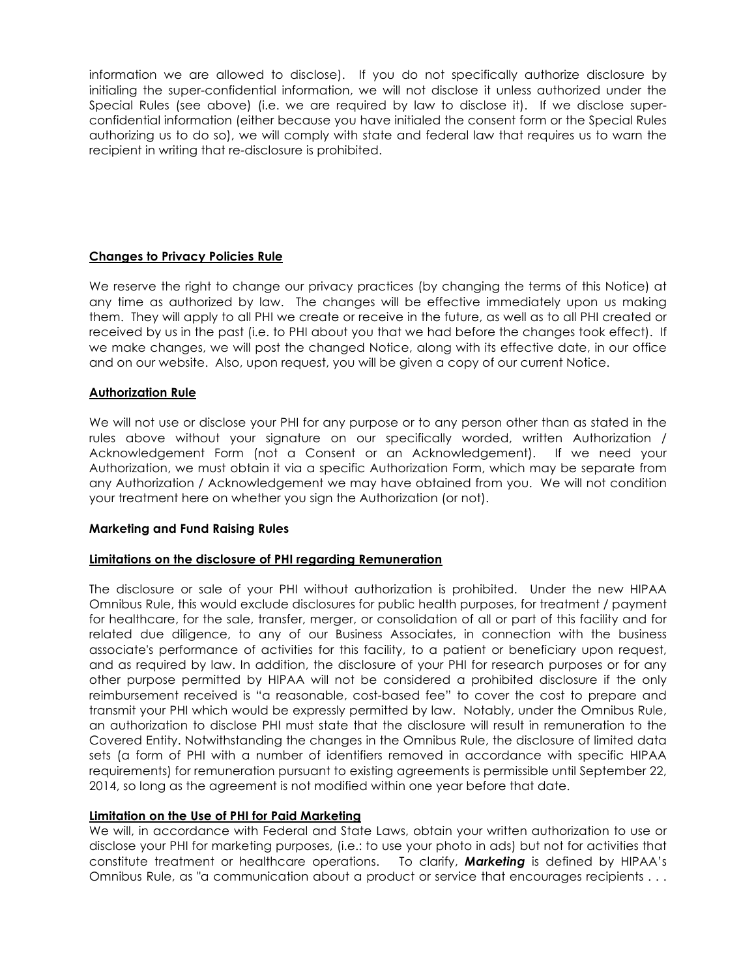information we are allowed to disclose). If you do not specifically authorize disclosure by initialing the super-confidential information, we will not disclose it unless authorized under the Special Rules (see above) (i.e. we are required by law to disclose it). If we disclose superconfidential information (either because you have initialed the consent form or the Special Rules authorizing us to do so), we will comply with state and federal law that requires us to warn the recipient in writing that re-disclosure is prohibited.

# **Changes to Privacy Policies Rule**

We reserve the right to change our privacy practices (by changing the terms of this Notice) at any time as authorized by law. The changes will be effective immediately upon us making them. They will apply to all PHI we create or receive in the future, as well as to all PHI created or received by us in the past (i.e. to PHI about you that we had before the changes took effect). If we make changes, we will post the changed Notice, along with its effective date, in our office and on our website. Also, upon request, you will be given a copy of our current Notice.

#### **Authorization Rule**

We will not use or disclose your PHI for any purpose or to any person other than as stated in the rules above without your signature on our specifically worded, written Authorization / Acknowledgement Form (not a Consent or an Acknowledgement). If we need your Authorization, we must obtain it via a specific Authorization Form, which may be separate from any Authorization / Acknowledgement we may have obtained from you. We will not condition your treatment here on whether you sign the Authorization (or not).

#### **Marketing and Fund Raising Rules**

#### **Limitations on the disclosure of PHI regarding Remuneration**

The disclosure or sale of your PHI without authorization is prohibited. Under the new HIPAA Omnibus Rule, this would exclude disclosures for public health purposes, for treatment / payment for healthcare, for the sale, transfer, merger, or consolidation of all or part of this facility and for related due diligence, to any of our Business Associates, in connection with the business associate's performance of activities for this facility, to a patient or beneficiary upon request, and as required by law. In addition, the disclosure of your PHI for research purposes or for any other purpose permitted by HIPAA will not be considered a prohibited disclosure if the only reimbursement received is "a reasonable, cost-based fee" to cover the cost to prepare and transmit your PHI which would be expressly permitted by law. Notably, under the Omnibus Rule, an authorization to disclose PHI must state that the disclosure will result in remuneration to the Covered Entity. Notwithstanding the changes in the Omnibus Rule, the disclosure of limited data sets (a form of PHI with a number of identifiers removed in accordance with specific HIPAA requirements) for remuneration pursuant to existing agreements is permissible until September 22, 2014, so long as the agreement is not modified within one year before that date.

#### **Limitation on the Use of PHI for Paid Marketing**

We will, in accordance with Federal and State Laws, obtain your written authorization to use or disclose your PHI for marketing purposes, (i.e.: to use your photo in ads) but not for activities that constitute treatment or healthcare operations. To clarify, *Marketing* is defined by HIPAA's Omnibus Rule, as "a communication about a product or service that encourages recipients . . .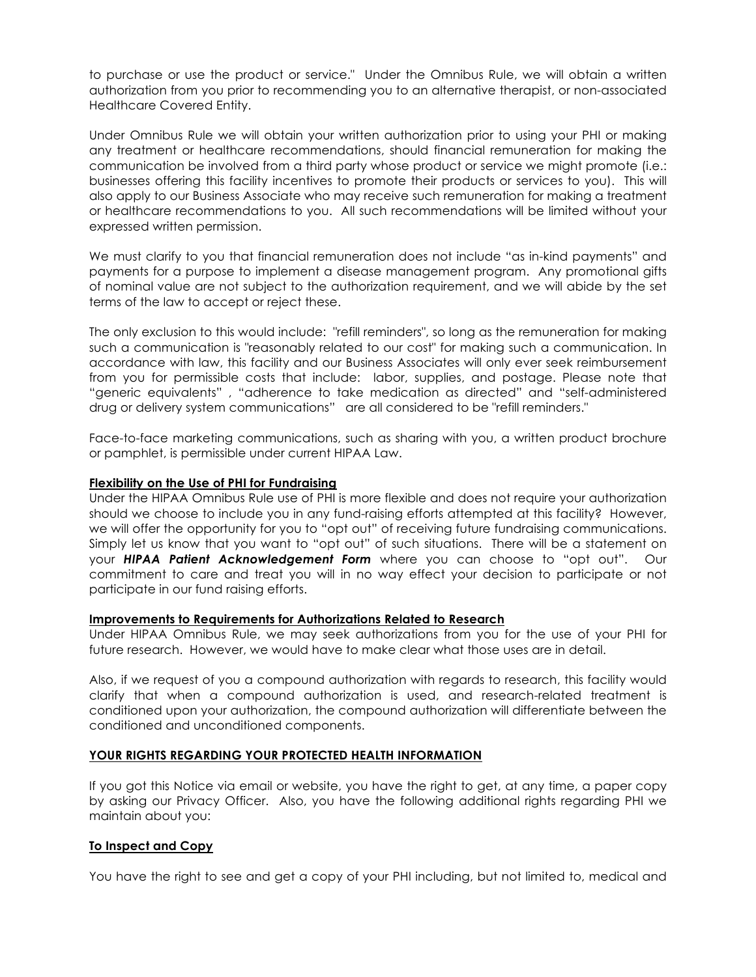to purchase or use the product or service." Under the Omnibus Rule, we will obtain a written authorization from you prior to recommending you to an alternative therapist, or non-associated Healthcare Covered Entity.

Under Omnibus Rule we will obtain your written authorization prior to using your PHI or making any treatment or healthcare recommendations, should financial remuneration for making the communication be involved from a third party whose product or service we might promote (i.e.: businesses offering this facility incentives to promote their products or services to you). This will also apply to our Business Associate who may receive such remuneration for making a treatment or healthcare recommendations to you. All such recommendations will be limited without your expressed written permission.

We must clarify to you that financial remuneration does not include "as in-kind payments" and payments for a purpose to implement a disease management program. Any promotional gifts of nominal value are not subject to the authorization requirement, and we will abide by the set terms of the law to accept or reject these.

The only exclusion to this would include: "refill reminders", so long as the remuneration for making such a communication is "reasonably related to our cost" for making such a communication. In accordance with law, this facility and our Business Associates will only ever seek reimbursement from you for permissible costs that include: labor, supplies, and postage. Please note that "generic equivalents" , "adherence to take medication as directed" and "self-administered drug or delivery system communications" are all considered to be "refill reminders."

Face-to-face marketing communications, such as sharing with you, a written product brochure or pamphlet, is permissible under current HIPAA Law.

#### **Flexibility on the Use of PHI for Fundraising**

Under the HIPAA Omnibus Rule use of PHI is more flexible and does not require your authorization should we choose to include you in any fund-raising efforts attempted at this facility? However, we will offer the opportunity for you to "opt out" of receiving future fundraising communications. Simply let us know that you want to "opt out" of such situations. There will be a statement on your *HIPAA Patient Acknowledgement Form* where you can choose to "opt out". Our commitment to care and treat you will in no way effect your decision to participate or not participate in our fund raising efforts.

#### **Improvements to Requirements for Authorizations Related to Research**

Under HIPAA Omnibus Rule, we may seek authorizations from you for the use of your PHI for future research. However, we would have to make clear what those uses are in detail.

Also, if we request of you a compound authorization with regards to research, this facility would clarify that when a compound authorization is used, and research-related treatment is conditioned upon your authorization, the compound authorization will differentiate between the conditioned and unconditioned components.

#### **YOUR RIGHTS REGARDING YOUR PROTECTED HEALTH INFORMATION**

If you got this Notice via email or website, you have the right to get, at any time, a paper copy by asking our Privacy Officer. Also, you have the following additional rights regarding PHI we maintain about you:

#### **To Inspect and Copy**

You have the right to see and get a copy of your PHI including, but not limited to, medical and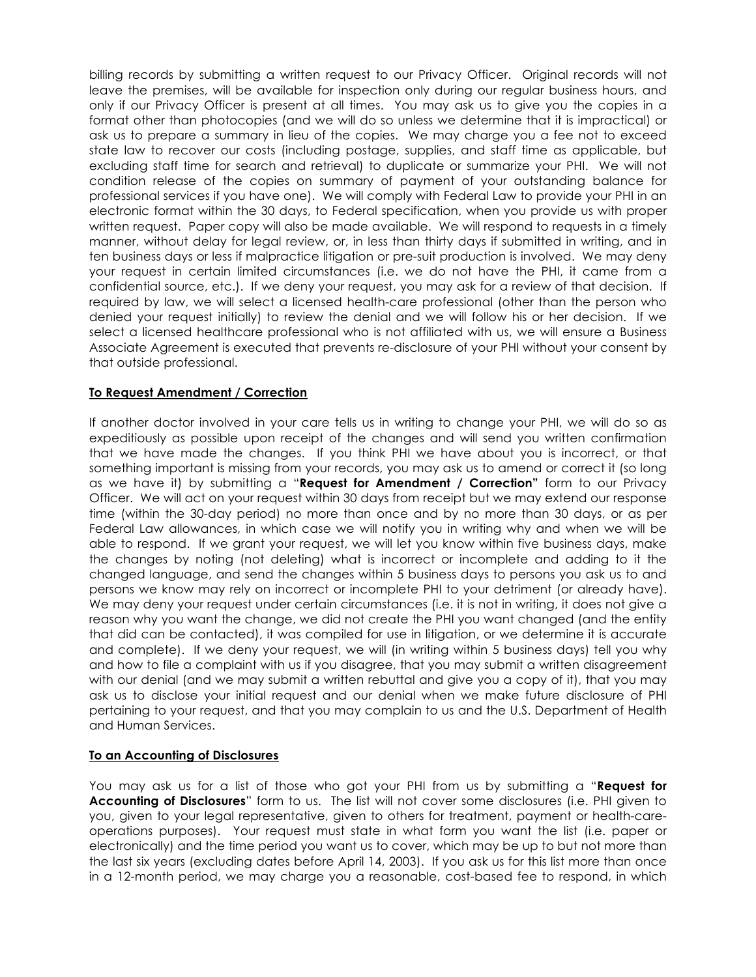billing records by submitting a written request to our Privacy Officer. Original records will not leave the premises, will be available for inspection only during our regular business hours, and only if our Privacy Officer is present at all times. You may ask us to give you the copies in a format other than photocopies (and we will do so unless we determine that it is impractical) or ask us to prepare a summary in lieu of the copies. We may charge you a fee not to exceed state law to recover our costs (including postage, supplies, and staff time as applicable, but excluding staff time for search and retrieval) to duplicate or summarize your PHI. We will not condition release of the copies on summary of payment of your outstanding balance for professional services if you have one). We will comply with Federal Law to provide your PHI in an electronic format within the 30 days, to Federal specification, when you provide us with proper written request. Paper copy will also be made available. We will respond to requests in a timely manner, without delay for legal review, or, in less than thirty days if submitted in writing, and in ten business days or less if malpractice litigation or pre-suit production is involved. We may deny your request in certain limited circumstances (i.e. we do not have the PHI, it came from a confidential source, etc.). If we deny your request, you may ask for a review of that decision. If required by law, we will select a licensed health-care professional (other than the person who denied your request initially) to review the denial and we will follow his or her decision. If we select a licensed healthcare professional who is not affiliated with us, we will ensure a Business Associate Agreement is executed that prevents re-disclosure of your PHI without your consent by that outside professional.

# **To Request Amendment / Correction**

If another doctor involved in your care tells us in writing to change your PHI, we will do so as expeditiously as possible upon receipt of the changes and will send you written confirmation that we have made the changes. If you think PHI we have about you is incorrect, or that something important is missing from your records, you may ask us to amend or correct it (so long as we have it) by submitting a "**Request for Amendment / Correction"** form to our Privacy Officer. We will act on your request within 30 days from receipt but we may extend our response time (within the 30-day period) no more than once and by no more than 30 days, or as per Federal Law allowances, in which case we will notify you in writing why and when we will be able to respond. If we grant your request, we will let you know within five business days, make the changes by noting (not deleting) what is incorrect or incomplete and adding to it the changed language, and send the changes within 5 business days to persons you ask us to and persons we know may rely on incorrect or incomplete PHI to your detriment (or already have). We may deny your request under certain circumstances (i.e. it is not in writing, it does not give a reason why you want the change, we did not create the PHI you want changed (and the entity that did can be contacted), it was compiled for use in litigation, or we determine it is accurate and complete). If we deny your request, we will (in writing within 5 business days) tell you why and how to file a complaint with us if you disagree, that you may submit a written disagreement with our denial (and we may submit a written rebuttal and give you a copy of it), that you may ask us to disclose your initial request and our denial when we make future disclosure of PHI pertaining to your request, and that you may complain to us and the U.S. Department of Health and Human Services.

#### **To an Accounting of Disclosures**

You may ask us for a list of those who got your PHI from us by submitting a "**Request for Accounting of Disclosures**" form to us. The list will not cover some disclosures (i.e. PHI given to you, given to your legal representative, given to others for treatment, payment or health-careoperations purposes). Your request must state in what form you want the list (i.e. paper or electronically) and the time period you want us to cover, which may be up to but not more than the last six years (excluding dates before April 14, 2003). If you ask us for this list more than once in a 12-month period, we may charge you a reasonable, cost-based fee to respond, in which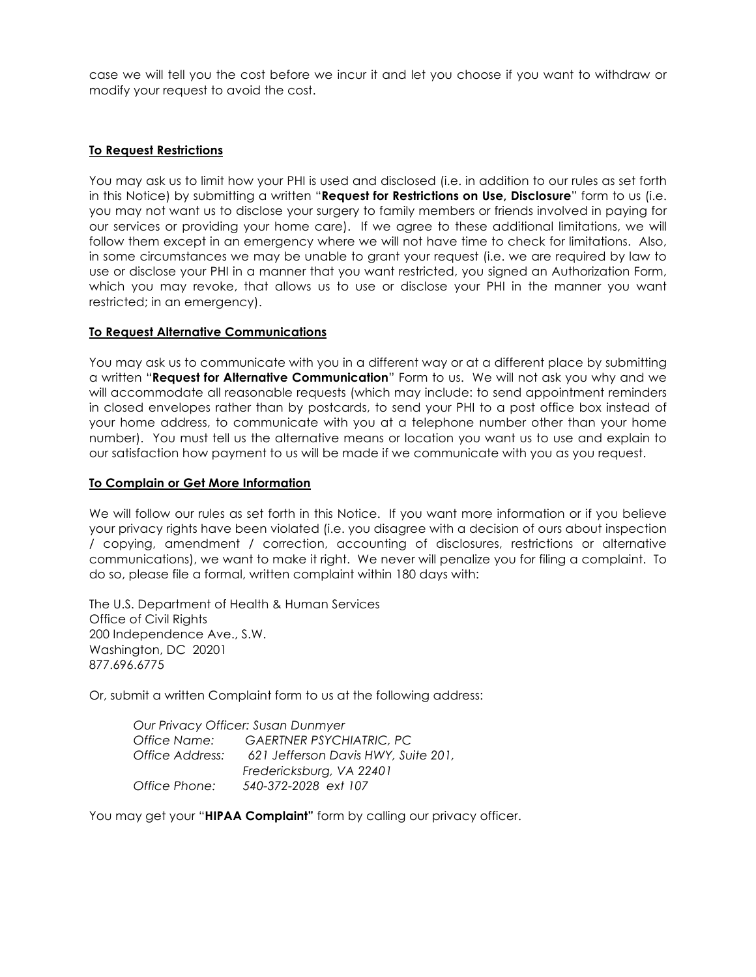case we will tell you the cost before we incur it and let you choose if you want to withdraw or modify your request to avoid the cost.

#### **To Request Restrictions**

You may ask us to limit how your PHI is used and disclosed (i.e. in addition to our rules as set forth in this Notice) by submitting a written "**Request for Restrictions on Use, Disclosure**" form to us (i.e. you may not want us to disclose your surgery to family members or friends involved in paying for our services or providing your home care). If we agree to these additional limitations, we will follow them except in an emergency where we will not have time to check for limitations. Also, in some circumstances we may be unable to grant your request (i.e. we are required by law to use or disclose your PHI in a manner that you want restricted, you signed an Authorization Form, which you may revoke, that allows us to use or disclose your PHI in the manner you want restricted; in an emergency).

#### **To Request Alternative Communications**

You may ask us to communicate with you in a different way or at a different place by submitting a written "**Request for Alternative Communication**" Form to us. We will not ask you why and we will accommodate all reasonable requests (which may include: to send appointment reminders in closed envelopes rather than by postcards, to send your PHI to a post office box instead of your home address, to communicate with you at a telephone number other than your home number). You must tell us the alternative means or location you want us to use and explain to our satisfaction how payment to us will be made if we communicate with you as you request.

#### **To Complain or Get More Information**

We will follow our rules as set forth in this Notice. If you want more information or if you believe your privacy rights have been violated (i.e. you disagree with a decision of ours about inspection / copying, amendment / correction, accounting of disclosures, restrictions or alternative communications), we want to make it right. We never will penalize you for filing a complaint. To do so, please file a formal, written complaint within 180 days with:

The U.S. Department of Health & Human Services Office of Civil Rights 200 Independence Ave., S.W. Washington, DC 20201 877.696.6775

Or, submit a written Complaint form to us at the following address:

| Our Privacy Officer: Susan Dunmyer |                                     |
|------------------------------------|-------------------------------------|
| Office Name:                       | <b>GAERTNER PSYCHIATRIC, PC</b>     |
| Office Address:                    | 621 Jefferson Davis HWY, Suite 201, |
|                                    | Fredericksburg, VA 22401            |
| Office Phone:                      | 540-372-2028 ext 107                |

You may get your "**HIPAA Complaint"** form by calling our privacy officer.